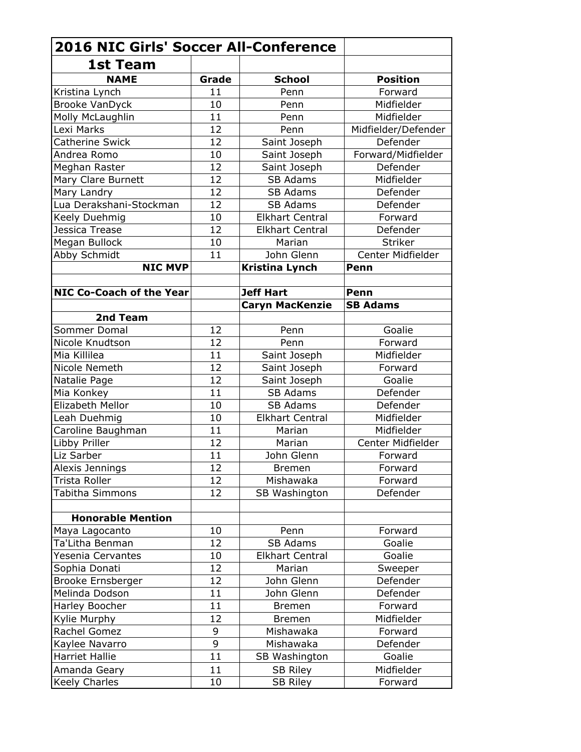| <b>2016 NIC Girls' Soccer All-Conference</b> |       |                        |                     |  |  |
|----------------------------------------------|-------|------------------------|---------------------|--|--|
| <b>1st Team</b>                              |       |                        |                     |  |  |
| <b>NAME</b>                                  | Grade | <b>School</b>          | <b>Position</b>     |  |  |
| Kristina Lynch                               | 11    | Penn                   | Forward             |  |  |
| <b>Brooke VanDyck</b>                        | 10    | Penn                   | Midfielder          |  |  |
| Molly McLaughlin                             | 11    | Penn                   | Midfielder          |  |  |
| Lexi Marks                                   | 12    | Penn                   | Midfielder/Defender |  |  |
| <b>Catherine Swick</b>                       | 12    | Saint Joseph           | Defender            |  |  |
| Andrea Romo                                  | 10    | Saint Joseph           | Forward/Midfielder  |  |  |
| Meghan Raster                                | 12    | Saint Joseph           | Defender            |  |  |
| Mary Clare Burnett                           | 12    | <b>SB Adams</b>        | Midfielder          |  |  |
| Mary Landry                                  | 12    | SB Adams               | Defender            |  |  |
| Lua Derakshani-Stockman                      | 12    | <b>SB Adams</b>        | Defender            |  |  |
| Keely Duehmig                                | 10    | <b>Elkhart Central</b> | Forward             |  |  |
| Jessica Trease                               | 12    | <b>Elkhart Central</b> | Defender            |  |  |
| Megan Bullock                                | 10    | Marian                 | <b>Striker</b>      |  |  |
| Abby Schmidt                                 | 11    | John Glenn             | Center Midfielder   |  |  |
| <b>NIC MVP</b>                               |       | <b>Kristina Lynch</b>  | Penn                |  |  |
|                                              |       |                        |                     |  |  |
| <b>NIC Co-Coach of the Year</b>              |       | <b>Jeff Hart</b>       | Penn                |  |  |
|                                              |       | <b>Caryn MacKenzie</b> | <b>SB Adams</b>     |  |  |
| 2nd Team                                     |       |                        |                     |  |  |
| Sommer Domal                                 | 12    | Penn                   | Goalie              |  |  |
| Nicole Knudtson                              | 12    | Penn                   | Forward             |  |  |
| Mia Killilea                                 | 11    | Saint Joseph           | Midfielder          |  |  |
| Nicole Nemeth                                | 12    | Saint Joseph           | Forward             |  |  |
| Natalie Page                                 | 12    | Saint Joseph           | Goalie              |  |  |
| Mia Konkey                                   | 11    | <b>SB Adams</b>        | Defender            |  |  |
| Elizabeth Mellor                             | 10    | <b>SB Adams</b>        | Defender            |  |  |
| Leah Duehmig                                 | 10    | <b>Elkhart Central</b> | Midfielder          |  |  |
| Caroline Baughman                            | 11    | Marian                 | Midfielder          |  |  |
| Libby Priller                                | 12    | Marian                 | Center Midfielder   |  |  |
| Liz Sarber                                   | 11    | John Glenn             | Forward             |  |  |
| Alexis Jennings                              | 12    | <b>Bremen</b>          | Forward             |  |  |
| Trista Roller                                | 12    | Mishawaka              | Forward             |  |  |
| Tabitha Simmons                              | 12    | SB Washington          | Defender            |  |  |
|                                              |       |                        |                     |  |  |
| <b>Honorable Mention</b>                     |       |                        |                     |  |  |
| Maya Lagocanto                               | 10    | Penn                   | Forward             |  |  |
| Ta'Litha Benman                              | 12    | <b>SB Adams</b>        | Goalie              |  |  |
| Yesenia Cervantes                            | 10    | <b>Elkhart Central</b> | Goalie              |  |  |
| Sophia Donati                                | 12    | Marian                 | Sweeper             |  |  |
| <b>Brooke Ernsberger</b>                     | 12    | John Glenn             | Defender            |  |  |
| Melinda Dodson                               | 11    | John Glenn             | Defender            |  |  |
| Harley Boocher                               | 11    | <b>Bremen</b>          | Forward             |  |  |
| Kylie Murphy                                 | 12    | <b>Bremen</b>          | Midfielder          |  |  |
| Rachel Gomez                                 | 9     | Mishawaka              | Forward             |  |  |
| Kaylee Navarro                               | 9     | Mishawaka              | Defender            |  |  |
| <b>Harriet Hallie</b>                        | 11    | SB Washington          | Goalie              |  |  |
| Amanda Geary                                 | 11    | <b>SB Riley</b>        | Midfielder          |  |  |
| Keely Charles                                | 10    | <b>SB Riley</b>        | Forward             |  |  |